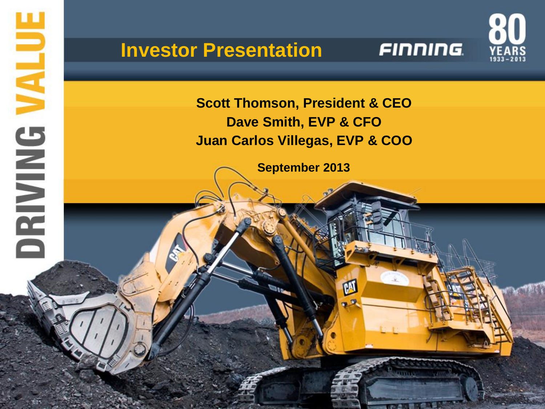## **Investor Presentation**



**Scott Thomson, President & CEO Dave Smith, EVP & CFO Juan Carlos Villegas, EVP & COO**

**September 2013**

M

 $11111$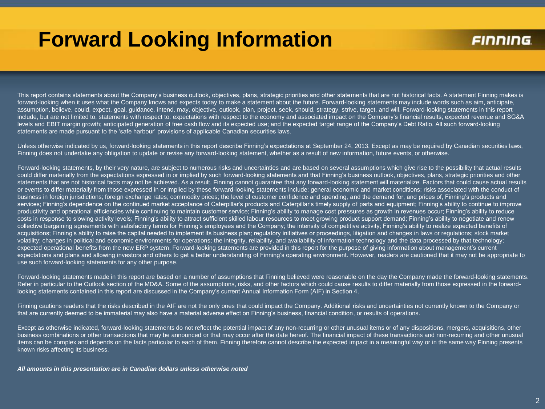## **Forward Looking Information**

#### FINNING

This report contains statements about the Company's business outlook, objectives, plans, strategic priorities and other statements that are not historical facts. A statement Finning makes is forward-looking when it uses what the Company knows and expects today to make a statement about the future. Forward-looking statements may include words such as aim, anticipate, assumption, believe, could, expect, goal, guidance, intend, may, objective, outlook, plan, project, seek, should, strategy, strive, target, and will. Forward-looking statements in this report include, but are not limited to, statements with respect to: expectations with respect to the economy and associated impact on the Company's financial results; expected revenue and SG&A levels and EBIT margin growth; anticipated generation of free cash flow and its expected use; and the expected target range of the Company's Debt Ratio. All such forward-looking statements are made pursuant to the 'safe harbour' provisions of applicable Canadian securities laws.

Unless otherwise indicated by us, forward-looking statements in this report describe Finning's expectations at September 24, 2013. Except as may be required by Canadian securities laws, Finning does not undertake any obligation to update or revise any forward-looking statement, whether as a result of new information, future events, or otherwise.

Forward-looking statements, by their very nature, are subject to numerous risks and uncertainties and are based on several assumptions which give rise to the possibility that actual results could differ materially from the expectations expressed in or implied by such forward-looking statements and that Finning's business outlook, objectives, plans, strategic priorities and other statements that are not historical facts may not be achieved. As a result. Finning cannot quarantee that any forward-looking statement will materialize. Factors that could cause actual results or events to differ materially from those expressed in or implied by these forward-looking statements include: general economic and market conditions; risks associated with the conduct of business in foreign jurisdictions; foreign exchange rates; commodity prices; the level of customer confidence and spending, and the demand for, and prices of, Finning's products and services; Finning's dependence on the continued market acceptance of Caterpillar's products and Caterpillar's timely supply of parts and equipment; Finning's ability to continue to improve productivity and operational efficiencies while continuing to maintain customer service; Finning's ability to manage cost pressures as growth in revenues occur; Finning's ability to reduce costs in response to slowing activity levels; Finning's ability to attract sufficient skilled labour resources to meet growing product support demand; Finning's ability to negotiate and renew collective bargaining agreements with satisfactory terms for Finning's employees and the Company; the intensity of competitive activity; Finning's ability to realize expected benefits of acquisitions; Finning's ability to raise the capital needed to implement its business plan; regulatory initiatives or proceedings, litigation and changes in laws or regulations; stock market volatility; changes in political and economic environments for operations; the integrity, reliability, and availability of information technology and the data processed by that technology; expected operational benefits from the new ERP system. Forward-looking statements are provided in this report for the purpose of giving information about management's current expectations and plans and allowing investors and others to get a better understanding of Finning's operating environment. However, readers are cautioned that it may not be appropriate to use such forward-looking statements for any other purpose.

Forward-looking statements made in this report are based on a number of assumptions that Finning believed were reasonable on the day the Company made the forward-looking statements. Refer in particular to the Outlook section of the MD&A. Some of the assumptions, risks, and other factors which could cause results to differ materially from those expressed in the forwardlooking statements contained in this report are discussed in the Company's current Annual Information Form (AIF) in Section 4.

Finning cautions readers that the risks described in the AIF are not the only ones that could impact the Company. Additional risks and uncertainties not currently known to the Company or that are currently deemed to be immaterial may also have a material adverse effect on Finning's business, financial condition, or results of operations.

Except as otherwise indicated, forward-looking statements do not reflect the potential impact of any non-recurring or other unusual items or of any dispositions, mergers, acquisitions, other business combinations or other transactions that may be announced or that may occur after the date hereof. The financial impact of these transactions and non-recurring and other unusual items can be complex and depends on the facts particular to each of them. Finning therefore cannot describe the expected impact in a meaningful way or in the same way Finning presents known risks affecting its business.

*All amounts in this presentation are in Canadian dollars unless otherwise noted*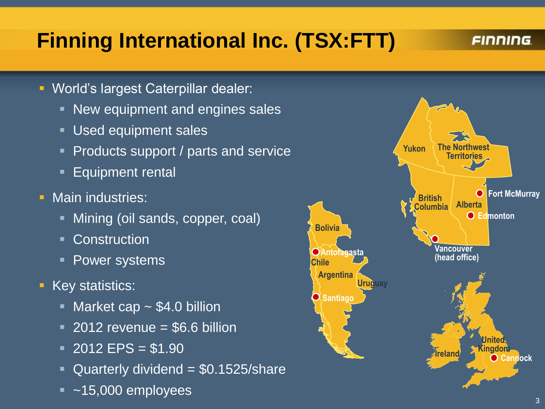# **Finning International Inc. (TSX:FTT)**

### **FINNING**

- **World's largest Caterpillar dealer:** 
	- **New equipment and engines sales**
	- Used equipment sales
	- **Products support / parts and service**
	- **Equipment rental**
- **Main industries:** 
	- **Mining (oil sands, copper, coal)**
	- **Construction**
	- **Power systems**
- Key statistics:
	- $\blacksquare$  Market cap ~ \$4.0 billion
	- $\overline{2012}$  revenue = \$6.6 billion
	- $\blacksquare$  2012 EPS = \$1.90
	- Quarterly dividend =  $$0.1525/s$  hare
	- $\sim$  15,000 employees



3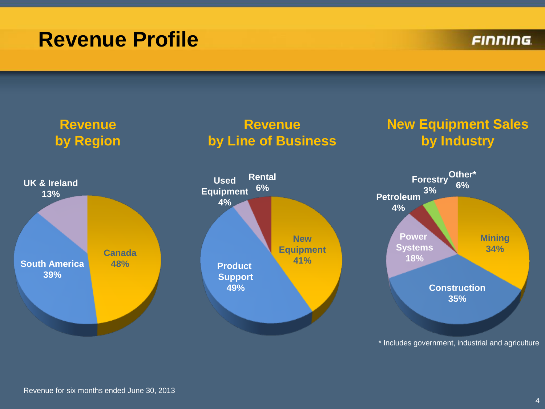## **Revenue Profile**

#### **FINNING**

### **Revenue by Region**

### **Revenue by Line of Business**

### **New Equipment Sales by Industry**







\* Includes government, industrial and agriculture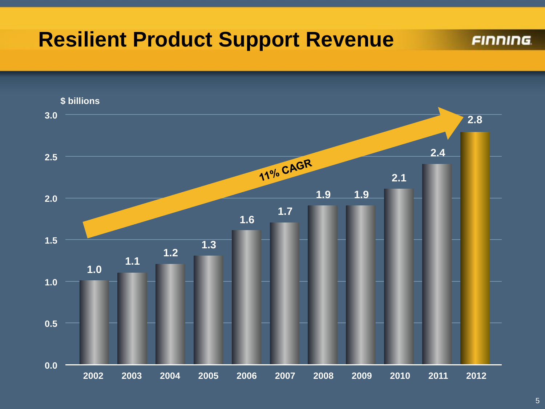# **Resilient Product Support Revenue**

#### **FINNING**

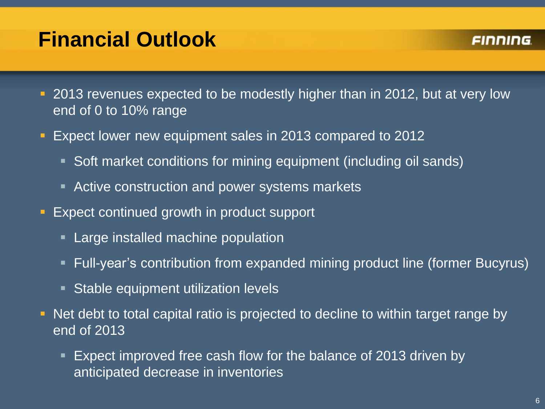# **Financial Outlook**

- **2013 revenues expected to be modestly higher than in 2012, but at very low** end of 0 to 10% range
- **Expect lower new equipment sales in 2013 compared to 2012** 
	- Soft market conditions for mining equipment (including oil sands)
	- Active construction and power systems markets
- **Expect continued growth in product support** 
	- **Large installed machine population**
	- **Full-year's contribution from expanded mining product line (former Bucyrus)**
	- **Stable equipment utilization levels**
- Net debt to total capital ratio is projected to decline to within target range by end of 2013
	- Expect improved free cash flow for the balance of 2013 driven by anticipated decrease in inventories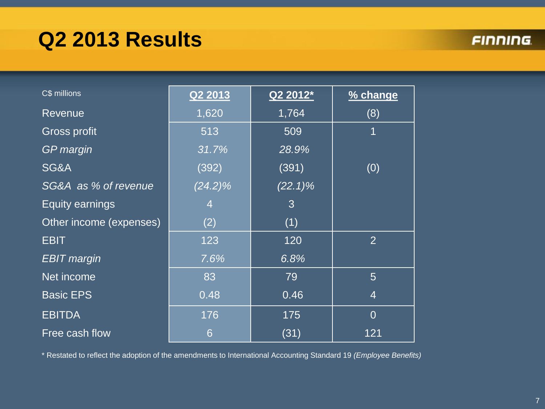## **Q2 2013 Results**

### **FINNING**

| C\$ millions            | Q2 2013    | Q2 2012*   | % change       |
|-------------------------|------------|------------|----------------|
| Revenue                 | 1,620      | 1,764      | (8)            |
| <b>Gross profit</b>     | 513        | 509        | 1              |
| GP margin               | 31.7%      | 28.9%      |                |
| SG&A                    | (392)      | (391)      | (0)            |
| SG&A as % of revenue    | $(24.2)\%$ | $(22.1)\%$ |                |
| <b>Equity earnings</b>  | 4          | 3          |                |
| Other income (expenses) | (2)        | (1)        |                |
| <b>EBIT</b>             | 123        | 120        | $\overline{2}$ |
| <b>EBIT</b> margin      | 7.6%       | 6.8%       |                |
| Net income              | 83         | 79         | 5              |
| <b>Basic EPS</b>        | 0.48       | 0.46       | $\overline{4}$ |
| <b>EBITDA</b>           | 176        | 175        | $\overline{0}$ |
| Free cash flow          | 6          | (31)       | 121            |

\* Restated to reflect the adoption of the amendments to International Accounting Standard 19 *(Employee Benefits)*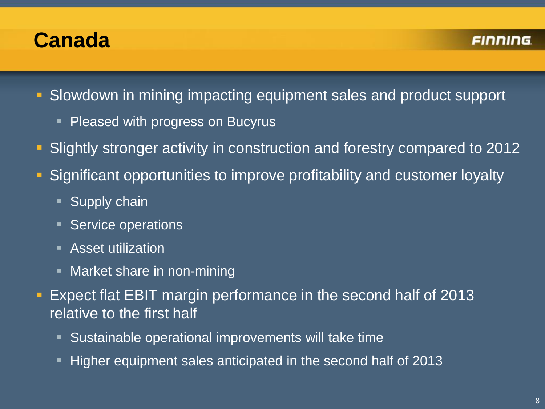## **Canada**

- **Slowdown in mining impacting equipment sales and product support** 
	- **Pleased with progress on Bucyrus**
- Slightly stronger activity in construction and forestry compared to 2012
- Significant opportunities to improve profitability and customer loyalty
	- **Supply chain**
	- **Service operations**
	- **Asset utilization**
	- **Market share in non-mining**
- Expect flat EBIT margin performance in the second half of 2013 relative to the first half
	- Sustainable operational improvements will take time
	- Higher equipment sales anticipated in the second half of 2013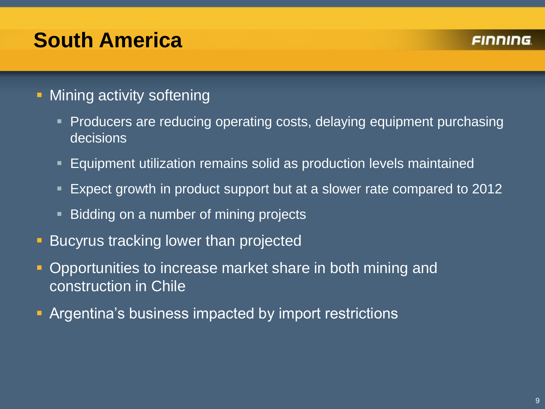# **South America**

#### FINNING

## **- Mining activity softening**

- **Producers are reducing operating costs, delaying equipment purchasing** decisions
- **Equipment utilization remains solid as production levels maintained**
- Expect growth in product support but at a slower rate compared to 2012
- Bidding on a number of mining projects
- Bucyrus tracking lower than projected
- Opportunities to increase market share in both mining and construction in Chile
- **Argentina's business impacted by import restrictions**